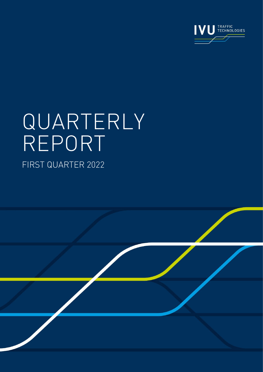

# QUARTERLY REPORT FIRST QUARTER 2022

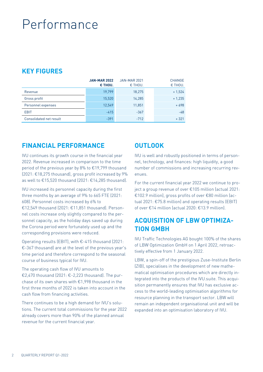## Performance

#### **KEY FIGURES**

|                         | <b>JAN-MAR 2022</b><br>€ THOU. | <b>JAN-MAR 2021</b><br>$\epsilon$ THOU. | <b>CHANGE</b><br>€ THOU. |
|-------------------------|--------------------------------|-----------------------------------------|--------------------------|
| Revenue                 | 19.799                         | 18.275                                  | $+1,524$                 |
| Gross profit            | 15,520                         | 14,285                                  | $+1,235$                 |
| Personnel expenses      | 12,549                         | 11,851                                  | $+698$                   |
| <b>EBIT</b>             | $-415$                         | $-367$                                  | $-48$                    |
| Consolidated net result | $-391$                         | $-712$                                  | $+321$                   |

#### **FINANCIAL PERFORMANCE**

IVU continues its growth course in the financial year 2022. Revenue increased in comparison to the time period of the previous year by 8% to €19,799 thousand (2021: €18,275 thousand), gross profit increased by 9% as well to €15,520 thousand (2021: €14,285 thousand).

IVU increased its personnel capacity during the first three months by an average of 9% to 665 FTE (2021: 608). Personnel costs increased by 6% to €12,549 thousand (2021: €11,851 thousand). Personnel costs increase only slightly compared to the personnel capacity, as the holiday days saved up during the Corona period were fortunately used up and the corresponding provisions were reduced.

Operating results (EBIT), with €-415 thousand (2021: €-367 thousand) are at the level of the previous year's time period and therefore correspond to the seasonal course of business typical for IVU.

The operating cash flow of IVU amounts to €2,470 thousand (2021: €-2,223 thousand). The purchase of its own shares with €1,998 thousand in the first three months of 2022 is taken into account in the cash flow from financing activities.

There continues to be a high demand for IVU's solutions. The current total commissions for the year 2022 already covers more than 90% of the planned annual revenue for the current financial year.

#### **OUTLOOK**

IVU is well and robustly positioned in terms of personnel, technology, and finances: high liquidity, a good number of commissions and increasing recurring revenues.

For the current financial year 2022 we continue to project a group revenue of over €105 million (actual 2021: €102.9 million), gross profits of over €80 million (actual 2021: €75.8 million) and operating results (EBIT) of over €14 million (actual 2020: €13.9 million).

#### **ACQUISITION OF LBW OPTIMIZA-TION GMBH**

IVU Traffic Technologies AG bought 100% of the shares of LBW Optimization GmbH on 1 April 2022, retroactively effective from 1 January 2022.

LBW, a spin-off of the prestigious Zuse-Institute Berlin (ZIB), specialises in the development of new mathematical optimisation procedures which are directly integrated into the products of the IVU.suite. This acquisition permanently ensures that IVU has exclusive access to the world-leading optimisation algorithms for resource planning in the transport sector. LBW will remain an independent organisational unit and will be expanded into an optimisation laboratory of IVU.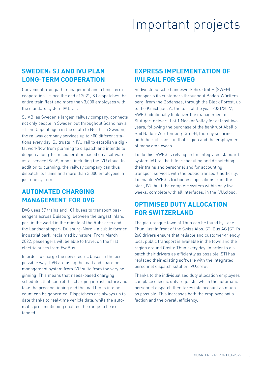## Important projects

#### **SWEDEN: SJ AND IVU PLAN LONG-TERM COOPERATION**

Convenient train path management and a long-term cooperation – since the end of 2021, SJ dispatches the entire train fleet and more than 3,000 employees with the standard system IVU.rail.

SJ AB, as Sweden's largest railway company, connects not only people in Sweden but throughout Scandinavia – from Copenhagen in the south to Northern Sweden, the railway company services up to 400 different stations every day. SJ trusts in IVU.rail to establish a digital workflow from planning to dispatch and intends to deepen a long-term cooperation based on a softwareas-a-service (SaaS) model including the IVU.cloud. In addition to planning, the railway company can thus dispatch its trains and more than 3,000 employees in just one system.

#### **AUTOMATED CHARGING MANAGEMENT FOR DVG**

DVG uses 57 trains and 101 buses to transport passengers across Duisburg, between the largest inland port in the world in the middle of the Ruhr area and the Landschaftspark Duisburg-Nord – a public former industrial park, reclaimed by nature. From March 2022, passengers will be able to travel on the first electric buses from EvoBus.

In order to charge the new electric buses in the best possible way, DVG are using the load and charging management system from IVU.suite from the very beginning: This means that needs-based charging schedules that control the charging infrastructure and take the preconditioning and the load limits into account can be generated. Dispatchers are always up to date thanks to real-time vehicle data, while the automatic preconditioning enables the range to be extended.

### **EXPRESS IMPLEMENTATION OF IVU.RAIL FOR SWEG**

Südwestdeutsche Landesverkehrs GmbH (SWEG) transports its customers throughout Baden-Württemberg, from the Bodensee, through the Black Forest, up to the Kraichgau. At the turn of the year 2021/2022, SWEG additionally took over the management of Stuttgart network Lot 1 Neckar Valley for at least two years, following the purchase of the bankrupt Abellio Rail Baden-Württemberg GmbH, thereby securing both the rail transit in that region and the employment of many employees.

To do this, SWEG is relying on the integrated standard system IVU.rail both for scheduling and dispatching their trains and personnel and for accounting transport services with the public transport authority. To enable SWEG's frictionless operations from the start, IVU built the complete system within only five weeks, complete with all interfaces, in the IVU.cloud.

#### **OPTIMISED DUTY ALLOCATION FOR SWITZERLAND**

The picturesque town of Thun can be found by Lake Thun, just in front of the Swiss Alps. STI Bus AG (STI)'s 260 drivers ensure that reliable and customer-friendly local public transport is available in the town and the region around Castle Thun every day. In order to dispatch their drivers as efficiently as possible, STI has replaced their existing software with the integrated personnel dispatch solution IVU.crew.

Thanks to the individualised duty allocation employees can place specific duty requests, which the automatic personnel dispatch then takes into account as much as possible. This increases both the employee satisfaction and the overall efficiency.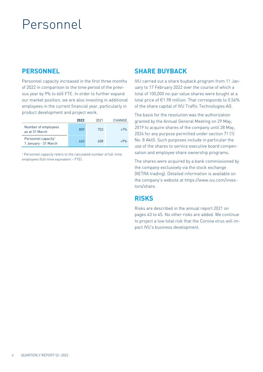## Personnel

### **PERSONNEL**

Personnel capacity increased in the first three months of 2022 in comparison to the time period of the previous year by 9% to 665 FTE. In order to further expand our market position, we are also investing in additional employees in the current financial year, particularly in product development and project work.

|                                                         | 2022 | 2021 | CHANGE |
|---------------------------------------------------------|------|------|--------|
| Number of employees<br>as at 31 March                   | 809  | 753  | $+7%$  |
| Personnel capacity <sup>1</sup><br>1 January - 31 March | 665  | 608  | $+9%$  |

<sup>1</sup> Personnel capacity refers to the calculated number of full-time employees (full-time equivalent – FTE).

#### **SHARE BUYBACK**

IVU carried out a share buyback program from 11 January to 17 February 2022 over the course of which a total of 100,000 no-par value shares were bought at a total price of €1.98 million. That corresponds to 0.56% of the share capital of IVU Traffic Technologies AG.

The basis for the resolution was the authorization granted by the Annual General Meeting on 29 May, 2019 to acquire shares of the company until 28 May, 2024 for any purpose permitted under section 71 (1) No. 8 AktG. Such purposes include in particular the use of the shares to service executive board compensation and employee share ownership programs.

The shares were acquired by a bank commissioned by the company exclusively via the stock exchange (XETRA trading). Detailed information is available on the company's website at https://www.ivu.com/investors/share.

#### **RISKS**

Risks are described in the annual report 2021 on pages 43 to 45. No other risks are added. We continue to project a low total risk that the Corona virus will impact IVU's business development.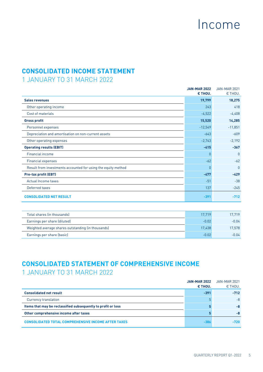### Income

### **CONSOLIDATED INCOME STATEMENT**

1 JANUARY TO 31 MARCH 2022

|                                                               | <b>JAN-MAR 2022</b><br>€ THOU. | <b>JAN-MAR 2021</b><br>€ THOU. |
|---------------------------------------------------------------|--------------------------------|--------------------------------|
| <b>Sales revenues</b>                                         | 19,799                         | 18,275                         |
| Other operating income                                        | 243                            | 418                            |
| Cost of materials                                             | $-4,522$                       | $-4,408$                       |
| <b>Gross profit</b>                                           | 15,520                         | 14,285                         |
| Personnel expenses                                            | $-12,549$                      | $-11,851$                      |
| Depreciation and amortisation on non-current assets           | $-643$                         | $-609$                         |
| Other operating expenses                                      | $-2,743$                       | $-2,192$                       |
| <b>Operating results (EBIT)</b>                               | $-415$                         | $-367$                         |
| <b>Financial income</b>                                       | 0                              | $\theta$                       |
| <b>Financial expenses</b>                                     | $-62$                          | $-62$                          |
| Result from investments accounted for using the equity method | 0                              | $\Omega$                       |
| <b>Pre-tax profit (EBT)</b>                                   | $-477$                         | $-429$                         |
| Actual Income taxes                                           | $-51$                          | $-38$                          |
| Deferred taxes                                                | 137                            | $-245$                         |
| <b>CONSOLIDATED NET RESULT</b>                                | $-391$                         | $-712$                         |

| Total shares (in thousands)                        | 17,719  | 17.719  |
|----------------------------------------------------|---------|---------|
| Earnings per share (diluted)                       | $-0.02$ | $-0.04$ |
| Weighted average shares outstanding (in thousands) | 17.438  | 17.578  |
| Earnings per share (basic)                         | $-0.02$ | $-0.04$ |

### **CONSOLIDATED STATEMENT OF COMPREHENSIVE INCOME**

1 JANUARY TO 31 MARCH 2022

|                                                               | <b>JAN-MAR 2022</b> | <b>JAN-MAR 2021</b> |
|---------------------------------------------------------------|---------------------|---------------------|
|                                                               | € THOU.             | € THOU.             |
| <b>Consolidated net result</b>                                | $-391$              | $-712$              |
| <b>Currency translation</b>                                   | 5                   | $-8$                |
| Items that may be reclassified subsequently to profit or loss | 5                   | -8                  |
| Other comprehensive income after taxes                        | 5                   | -8                  |
| <b>CONSOLIDATED TOTAL COMPREHENSIVE INCOME AFTER TAXES</b>    | $-386$              | $-720$              |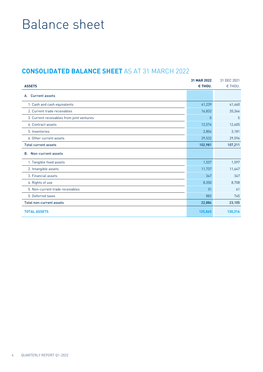## Balance sheet

### **CONSOLIDATED BALANCE SHEET** AS AT 31 MARCH 2022

|                                            | 31 MAR 2022  | 31 DEC 2021 |
|--------------------------------------------|--------------|-------------|
| <b>ASSETS</b>                              | € THOU.      | € THOU.     |
| <b>Current assets</b><br>А.                |              |             |
| 1. Cash and cash equivalents               | 41,239       | 41,460      |
| 2. Current trade receivables               | 16,832       | 20,364      |
| 3. Current receivables from joint ventures | $\mathbf{0}$ | 5           |
| 4. Contract assets                         | 12,574       | 12,605      |
| 5. Inventories                             | 2,804        | 3,181       |
| 6. Other current assets                    | 29,532       | 29,596      |
| <b>Total current assets</b>                | 102,981      | 107,211     |
| Non-current assets<br><b>B.</b>            |              |             |
| 1. Tangible fixed assets                   | 1,537        | 1,597       |
| 2. Intangible assets                       | 11,737       | 11,647      |
| 3. Financial assets                        | 347          | 347         |
| 4. Rights of use                           | 8,350        | 8,708       |
| 5. Non-current trade receivables           | 31           | 61          |
| 5. Deferred taxes                          | 882          | 745         |
| <b>Total non-current assets</b>            | 22,884       | 23,105      |
| <b>TOTAL ASSETS</b>                        | 125,865      | 130,316     |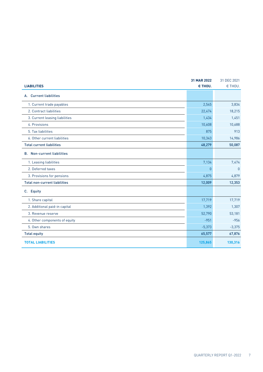|                                             | 31 MAR 2022  | 31 DEC 2021 |
|---------------------------------------------|--------------|-------------|
| <b>LIABILITIES</b>                          | € THOU.      | € THOU.     |
| A. Current liabilities                      |              |             |
| 1. Current trade payables                   | 2,545        | 3,834       |
| 2. Contract liabilities                     | 22,474       | 18,215      |
| 3. Current leasing liabilities              | 1,434        | 1,451       |
| 4. Provisions                               | 10,608       | 10,688      |
| 5. Tax liabilities                          | 875          | 913         |
| 6. Other current liabilities                | 10,343       | 14,986      |
| <b>Total current liabilities</b>            | 48,279       | 50,087      |
| <b>Non-current liabilities</b><br><b>B.</b> |              |             |
| 1. Leasing liabilities                      | 7,134        | 7,474       |
| 2. Deferred taxes                           | $\mathbf{0}$ | $\theta$    |
| 3. Provisions for pensions                  | 4,875        | 4,879       |
| <b>Total non-current liabilities</b>        | 12,009       | 12,353      |
| C. Equity                                   |              |             |
| 1. Share capital                            | 17,719       | 17,719      |
| 2. Additional paid-in capital               | 1,392        | 1,307       |
| 3. Revenue reserve                          | 52,790       | 53,181      |
| 4. Other components of equity               | $-951$       | $-956$      |
| 5. Own shares                               | $-5,373$     | $-3,375$    |
| <b>Total equity</b>                         | 65,577       | 67,876      |
| <b>TOTAL LIABILITIES</b>                    | 125,865      | 130,316     |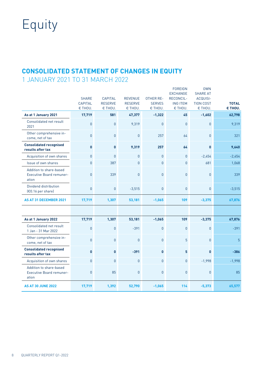## Equity

### **CONSOLIDATED STATEMENT OF CHANGES IN EQUITY**

1 JANUARY 2021 TO 31 MARCH 2022

|                                                                     |                    |                           |                           |                          | <b>FOREIGN</b><br><b>EXCHANGE</b> | <b>OWN</b><br><b>SHARE AT</b> |                         |
|---------------------------------------------------------------------|--------------------|---------------------------|---------------------------|--------------------------|-----------------------------------|-------------------------------|-------------------------|
|                                                                     | <b>SHARE</b>       | <b>CAPITAL</b>            | <b>REVENUE</b>            | OTHER RE-                | RECONCIL-                         | ACQUISI-                      |                         |
|                                                                     | CAPITAL<br>€ THOU. | <b>RESERVE</b><br>€ THOU. | <b>RESERVE</b><br>€ THOU. | <b>SERVES</b><br>€ THOU. | <b>ING ITEM</b><br>€ THOU.        | <b>TION COST</b><br>€ THOU.   | <b>TOTAL</b><br>€ THOU. |
| As at 1 January 2021                                                | 17,719             | 581                       | 47,377                    | $-1,322$                 | 45                                | $-1,602$                      | 62,798                  |
| Consolidated net result<br>2021                                     | $\mathbf{0}$       | $\overline{0}$            | 9,319                     | $\overline{0}$           | $\overline{0}$                    | $\overline{0}$                | 9,319                   |
| Other comprehensive in-<br>come, net of tax                         | $\mathbf{0}$       | $\overline{0}$            | $\mathbf{0}$              | 257                      | 64                                | 0                             | 321                     |
| <b>Consolidated recognised</b><br>results after tax                 | $\mathbf{0}$       | $\mathbf{0}$              | 9,319                     | 257                      | 64                                | 0                             | 9,640                   |
| Acquisition of own shares                                           | $\mathbf{0}$       | $\Omega$                  | $\mathbf{0}$              | $\overline{0}$           | $\overline{0}$                    | $-2,454$                      | $-2,454$                |
| Issue of own shares                                                 | $\mathbf{0}$       | 387                       | $\mathbf{0}$              | $\overline{0}$           | $\overline{0}$                    | 681                           | 1,068                   |
| Addition to share-based<br><b>Executive Board remuner-</b><br>ation | $\mathbf{0}$       | 339                       | $\mathbf{0}$              | $\mathbf{0}$             | $\mathbf{0}$                      | 0                             | 339                     |
| Dividend distribution<br>(€0.16 per share)                          | $\mathbf{0}$       | $\mathbf{0}$              | $-3,515$                  | $\mathbf{0}$             | $\mathbf{0}$                      | 0                             | $-3,515$                |
| AS AT 31 DECEMBER 2021                                              | 17,719             | 1,307                     | 53,181                    | $-1,065$                 | 109                               | $-3,375$                      | 67,876                  |
|                                                                     |                    |                           |                           |                          |                                   |                               |                         |
| As at 1 January 2022                                                | 17,719             | 1,307                     | 53,181                    | $-1,065$                 | 109                               | $-3,375$                      | 67,876                  |
| Consolidated net result<br>1 Jan - 31 Mar 2022                      | $\mathbf{0}$       | $\mathbf{0}$              | $-391$                    | $\overline{0}$           | $\mathbf{0}$                      | 0                             | $-391$                  |
| Other comprehensive in-<br>come, net of tax                         | $\mathbf{0}$       | $\mathbf{0}$              | $\mathbf{0}$              | $\mathbf{0}$             | 5                                 | 0                             | 5                       |
| <b>Consolidated recognised</b><br>results after tax                 | $\bf{0}$           | $\mathbf{0}$              | $-391$                    | $\mathbf{0}$             | 5                                 | 0                             | $-386$                  |
| Acquisition of own shares                                           | $\mathbf{0}$       | $\mathbf{0}$              | $\mathbf{0}$              | $\overline{0}$           | $\overline{0}$                    | $-1,998$                      | $-1,998$                |
| Addition to share-based<br><b>Executive Board remuner-</b><br>ation | $\mathbf{0}$       | 85                        | $\overline{0}$            | $\overline{0}$           | $\overline{0}$                    | $\mathbf 0$                   | 85                      |
| <b>AS AT 30 JUNE 2022</b>                                           | 17,719             | 1,392                     | 52,790                    | $-1,065$                 | 114                               | $-5,373$                      | 65,577                  |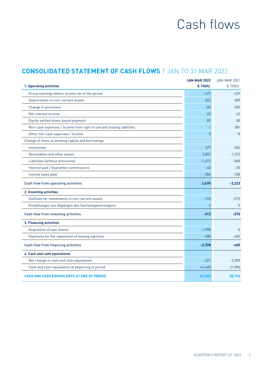## Cash flows

### **CONSOLIDATED STATEMENT OF CASH FLOWS** 1 JAN TO 31 MAR 2022

| 1. Operating activities                                              | <b>JAN-MAR 2022</b><br>€ THOU. | <b>JAN-MAR 2021</b><br>€ THOU. |
|----------------------------------------------------------------------|--------------------------------|--------------------------------|
| Group earnings before income tax of the period                       | $-477$                         | $-429$                         |
| Depreciation on non-current assets                                   | 643                            | 609                            |
| Change in provisions                                                 | $-84$                          | $-206$                         |
| Net interest income                                                  | 62                             | 62                             |
| Equity-settled share-based payment                                   | 85                             | 85                             |
| Non-cash expenses / income from right of use and leasing liabilities | $\mathbf{1}$                   | 381                            |
| Other non-cash expenses / income                                     | 5                              | $-8$                           |
| Change of items of working capital and borrowings                    |                                |                                |
| Inventories                                                          | 377                            | $-354$                         |
| Receivables and other assets                                         | 3,857                          | $-1,372$                       |
| Liabilities (without provisions)                                     | $-1,673$                       | $-848$                         |
| Interest paid / Guarantee commissions                                | $-40$                          | $-35$                          |
| Income taxes paid                                                    | $-286$                         | $-108$                         |
|                                                                      |                                |                                |
| Cash flow from operating activities                                  | 2,470                          | $-2,223$                       |
| 2. Investing activities                                              |                                |                                |
| Outflows for investments in non-current assets                       | $-315$                         | $-272$                         |
| Einzahlungen aus Abgängen des Sachanlagevermögens                    | $\overline{2}$                 | $\Omega$                       |
| Cash flow from investing activities                                  | $-313$                         | $-272$                         |
| 3. Financing activities                                              |                                |                                |
| Acquisition of own shares                                            | $-1,998$                       | $\mathbf{0}$                   |
| Payments for the repayment of leasing liabilities                    | $-380$                         | $-405$                         |
| Cash flow from financing activities                                  | $-2,378$                       | $-405$                         |
| 4. Cash and cash equivalents                                         |                                |                                |
| Net change in cash and cash equivalents                              | $-221$                         | $-2,900$                       |
| Cash and cash equivalents at beginning of period                     | 41,460                         | 31,096                         |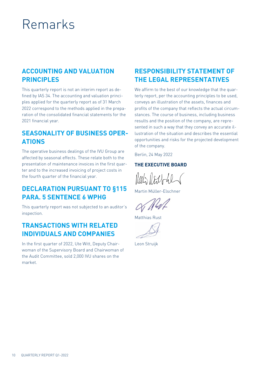## Remarks

#### **ACCOUNTING AND VALUATION PRINCIPLES**

This quarterly report is not an interim report as defined by IAS 34. The accounting and valuation principles applied for the quarterly report as of 31 March 2022 correspond to the methods applied in the preparation of the consolidated financial statements for the 2021 financial year.

### **SEASONALITY OF BUSINESS OPER-ATIONS**

The operative business dealings of the IVU Group are affected by seasonal effects. These relate both to the presentation of maintenance invoices in the first quarter and to the increased invoicing of project costs in the fourth quarter of the financial year.

#### **DECLARATION PURSUANT TO §115 PARA. 5 SENTENCE 6 WPHG**

This quarterly report was not subjected to an auditor's inspection.

#### **TRANSACTIONS WITH RELATED INDIVIDUALS AND COMPANIES**

In the first quarter of 2022, Ute Witt, Deputy Chairwoman of the Supervisory Board and Chairwoman of the Audit Committee, sold 2,000 IVU shares on the market.

### **RESPONSIBILITY STATEMENT OF THE LEGAL REPRESENTATIVES**

We affirm to the best of our knowledge that the quarterly report, per the accounting principles to be used, conveys an illustration of the assets, finances and profits of the company that reflects the actual circumstances. The course of business, including business results and the position of the company, are represented in such a way that they convey an accurate illustration of the situation and describes the essential opportunities and risks for the projected development of the company.

Berlin, 24 May 2022

#### **THE EXECUTIVE BOARD**

Reels Real-he

Martin Müller-Elschner

Matthias Rust

Leon Struijk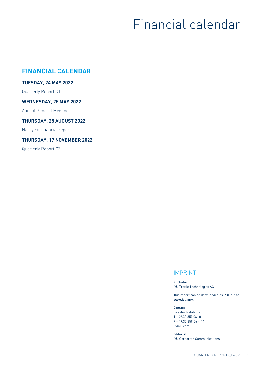## Financial calendar

#### **FINANCIAL CALENDAR**

#### **TUESDAY, 24 MAY 2022**

Quarterly Report Q1

#### **WEDNESDAY, 25 MAY 2022**

Annual General Meeting

#### **THURSDAY, 25 AUGUST 2022**

Half-year financial report

#### **THURSDAY, 17 NOVEMBER 2022**

Quarterly Report Q3

#### IMPRINT

**Publisher**  IVU Traffic Technologies AG

This report can be downloaded as PDF file at **www.ivu.com**.

#### **Contact**

Investor Relations T + 49.30.859 06 -0 F + 49.30.859 06 -111 ir@ivu.com

**Editorial** IVU Corporate Communications